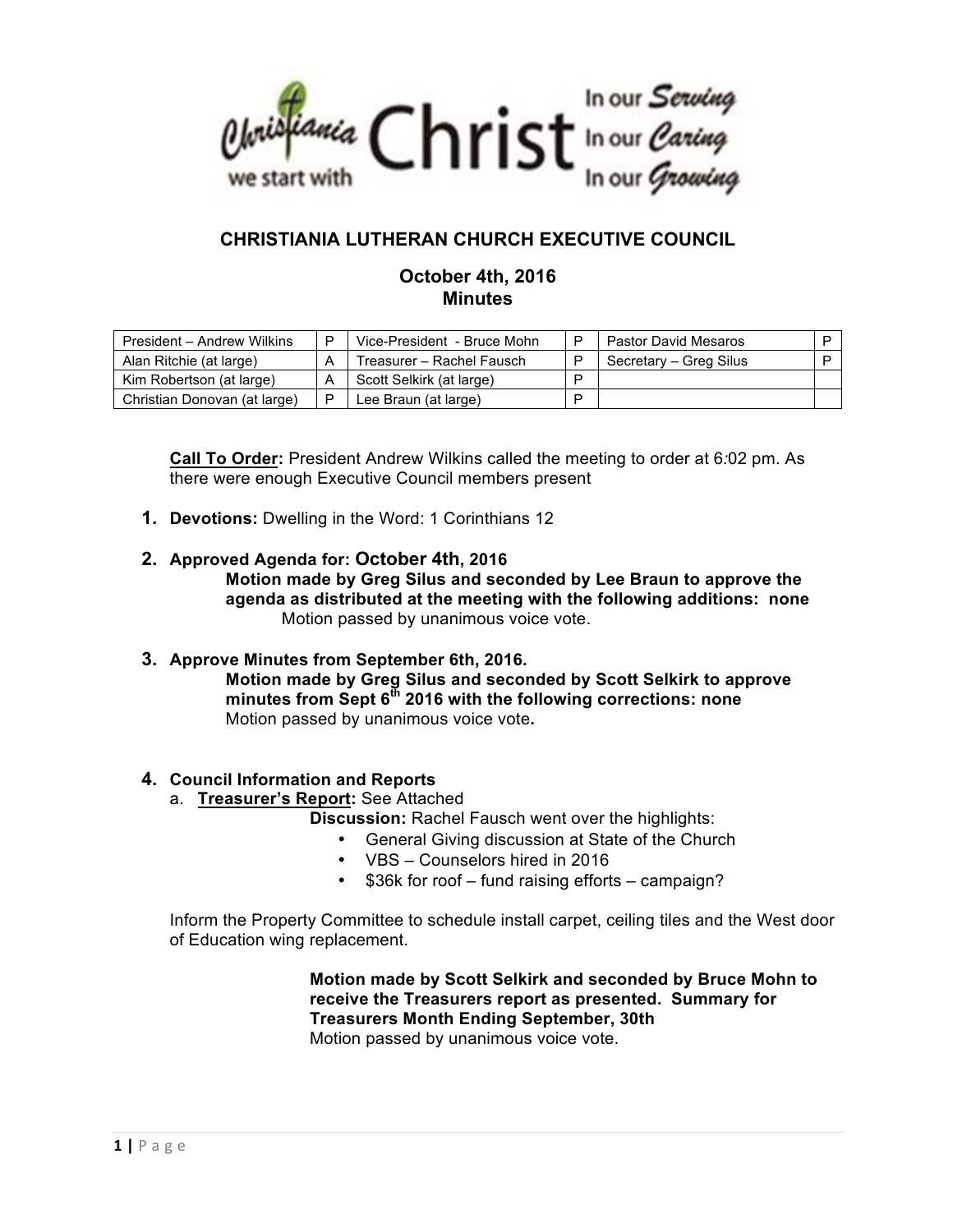

# **CHRISTIANIA LUTHERAN CHURCH EXECUTIVE COUNCIL**

# **October 4th, 2016 Minutes**

| President - Andrew Wilkins   | Vice-President - Bruce Mohn | D | Pastor David Mesaros   |  |
|------------------------------|-----------------------------|---|------------------------|--|
| Alan Ritchie (at large)      | Treasurer – Rachel Fausch   |   | Secretary - Greg Silus |  |
| Kim Robertson (at large)     | Scott Selkirk (at large)    | D |                        |  |
| Christian Donovan (at large) | Lee Braun (at large)        | D |                        |  |

**Call To Order:** President Andrew Wilkins called the meeting to order at 6*:*02 pm. As there were enough Executive Council members present

- **1. Devotions:** Dwelling in the Word: 1 Corinthians 12
- **2. Approved Agenda for: October 4th, 2016 Motion made by Greg Silus and seconded by Lee Braun to approve the agenda as distributed at the meeting with the following additions: none** Motion passed by unanimous voice vote.
- **3. Approve Minutes from September 6th, 2016. Motion made by Greg Silus and seconded by Scott Selkirk to approve minutes from Sept 6th 2016 with the following corrections: none** Motion passed by unanimous voice vote**.**

# **4. Council Information and Reports**

a. **Treasurer's Report:** See Attached

**Discussion:** Rachel Fausch went over the highlights:

- General Giving discussion at State of the Church
- VBS Counselors hired in 2016
- \$36k for roof fund raising efforts campaign?

Inform the Property Committee to schedule install carpet, ceiling tiles and the West door of Education wing replacement.

> **Motion made by Scott Selkirk and seconded by Bruce Mohn to receive the Treasurers report as presented. Summary for Treasurers Month Ending September, 30th** Motion passed by unanimous voice vote.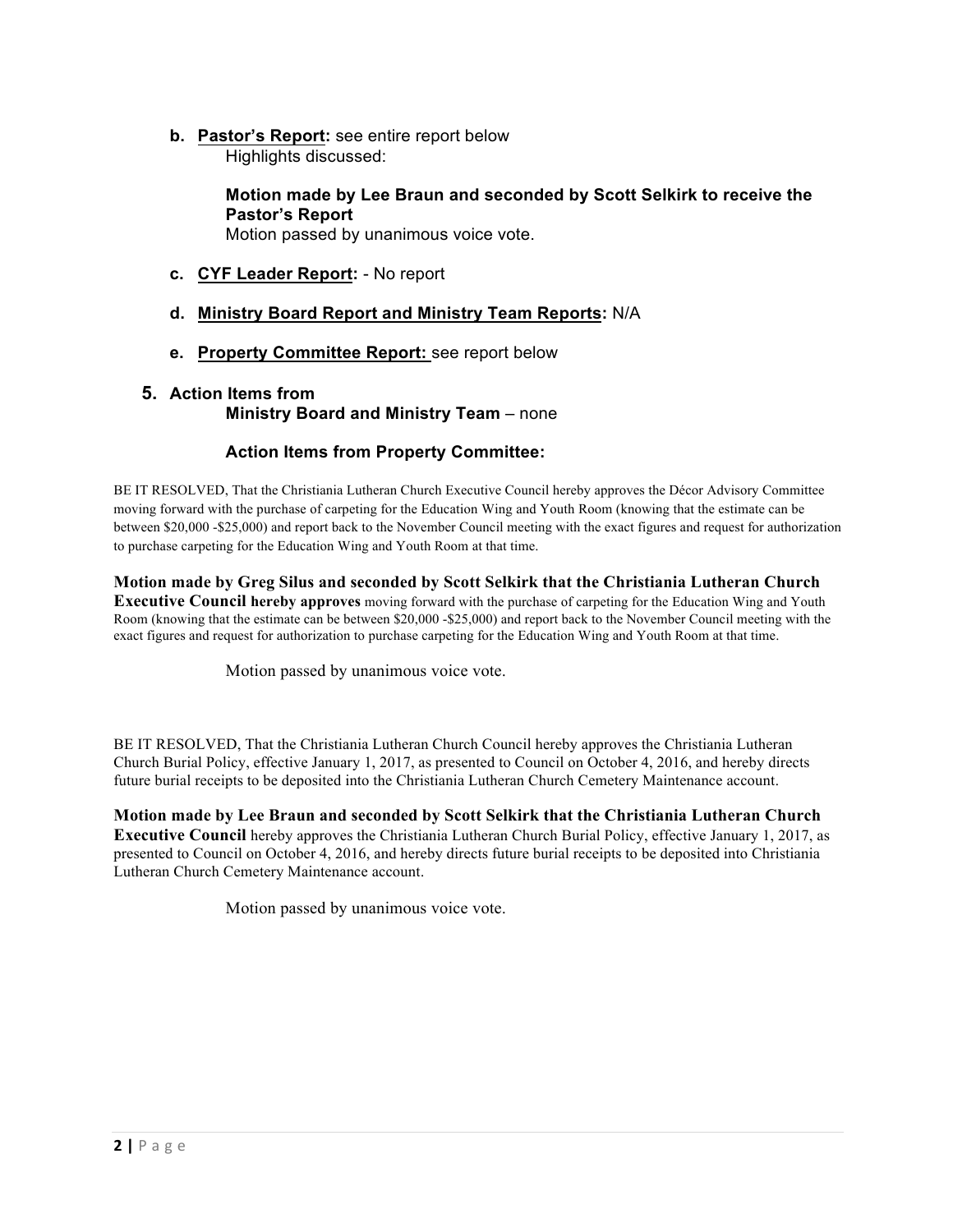**b. Pastor's Report:** see entire report below Highlights discussed:

> **Motion made by Lee Braun and seconded by Scott Selkirk to receive the Pastor's Report**

Motion passed by unanimous voice vote.

- **c. CYF Leader Report:** No report
- **d. Ministry Board Report and Ministry Team Reports:** N/A
- **e. Property Committee Report:** see report below

## **5. Action Items from Ministry Board and Ministry Team** – none

## **Action Items from Property Committee:**

BE IT RESOLVED, That the Christiania Lutheran Church Executive Council hereby approves the Décor Advisory Committee moving forward with the purchase of carpeting for the Education Wing and Youth Room (knowing that the estimate can be between \$20,000 -\$25,000) and report back to the November Council meeting with the exact figures and request for authorization to purchase carpeting for the Education Wing and Youth Room at that time.

**Motion made by Greg Silus and seconded by Scott Selkirk that the Christiania Lutheran Church Executive Council hereby approves** moving forward with the purchase of carpeting for the Education Wing and Youth Room (knowing that the estimate can be between \$20,000 -\$25,000) and report back to the November Council meeting with the exact figures and request for authorization to purchase carpeting for the Education Wing and Youth Room at that time.

Motion passed by unanimous voice vote.

BE IT RESOLVED, That the Christiania Lutheran Church Council hereby approves the Christiania Lutheran Church Burial Policy, effective January 1, 2017, as presented to Council on October 4, 2016, and hereby directs future burial receipts to be deposited into the Christiania Lutheran Church Cemetery Maintenance account.

**Motion made by Lee Braun and seconded by Scott Selkirk that the Christiania Lutheran Church Executive Council** hereby approves the Christiania Lutheran Church Burial Policy, effective January 1, 2017, as presented to Council on October 4, 2016, and hereby directs future burial receipts to be deposited into Christiania Lutheran Church Cemetery Maintenance account.

Motion passed by unanimous voice vote.